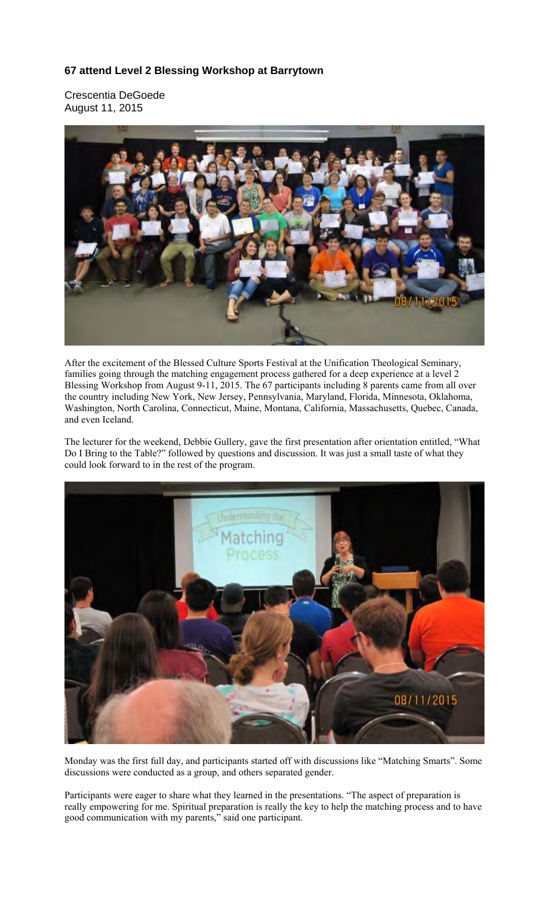## **67 attend Level 2 Blessing Workshop at Barrytown**

Crescentia DeGoede August 11, 2015



After the excitement of the Blessed Culture Sports Festival at the Unification Theological Seminary, families going through the matching engagement process gathered for a deep experience at a level 2 Blessing Workshop from August 9-11, 2015. The 67 participants including 8 parents came from all over the country including New York, New Jersey, Pennsylvania, Maryland, Florida, Minnesota, Oklahoma, Washington, North Carolina, Connecticut, Maine, Montana, California, Massachusetts, Quebec, Canada, and even Iceland.

The lecturer for the weekend, Debbie Gullery, gave the first presentation after orientation entitled, "What Do I Bring to the Table?" followed by questions and discussion. It was just a small taste of what they could look forward to in the rest of the program.



Monday was the first full day, and participants started off with discussions like "Matching Smarts". Some discussions were conducted as a group, and others separated gender.

Participants were eager to share what they learned in the presentations. "The aspect of preparation is really empowering for me. Spiritual preparation is really the key to help the matching process and to have good communication with my parents," said one participant.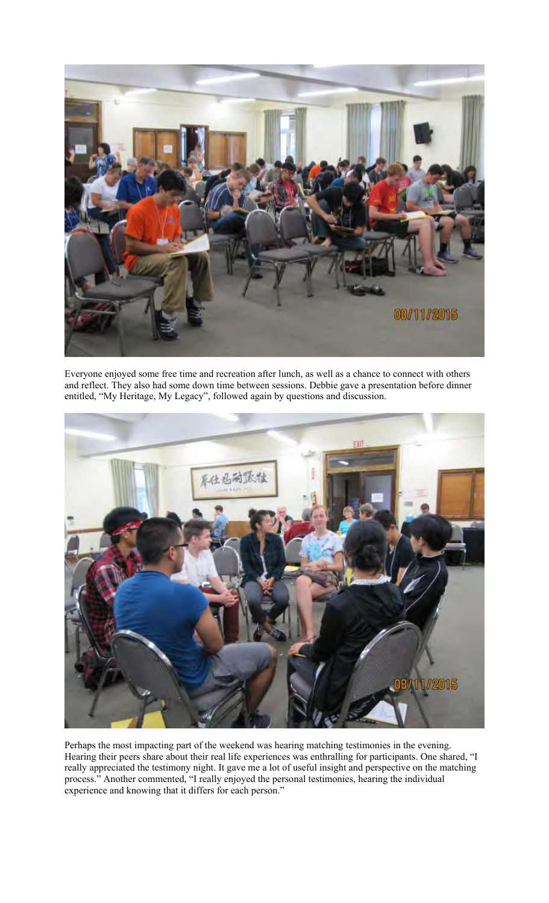

Everyone enjoyed some free time and recreation after lunch, as well as a chance to connect with others and reflect. They also had some down time between sessions. Debbie gave a presentation before dinner entitled, "My Heritage, My Legacy", followed again by questions and discussion.



Perhaps the most impacting part of the weekend was hearing matching testimonies in the evening. Hearing their peers share about their real life experiences was enthralling for participants. One shared, "I really appreciated the testimony night. It gave me a lot of useful insight and perspective on the matching process." Another commented, "I really enjoyed the personal testimonies, hearing the individual experience and knowing that it differs for each person."